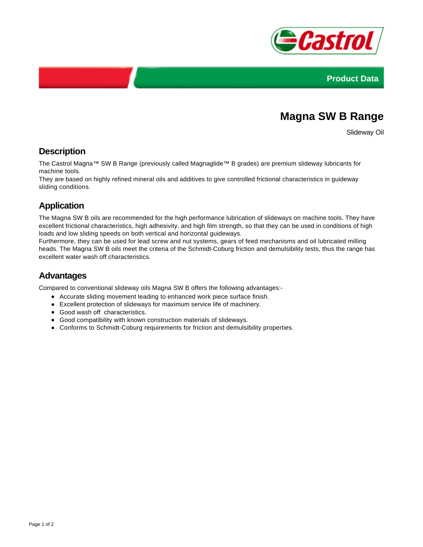



# **Magna SW B Range**

Slideway Oil

### **Description**

The Castrol Magna™ SW B Range (previously called Magnaglide™ B grades) are premium slideway lubricants for machine tools.

They are based on highly refined mineral oils and additives to give controlled frictional characteristics in guideway sliding conditions.

## **Application**

The Magna SW B oils are recommended for the high performance lubrication of slideways on machine tools. They have excellent frictional characteristics, high adhesivity, and high film strength, so that they can be used in conditions of high loads and low sliding speeds on both vertical and horizontal guideways.

Furthermore, they can be used for lead screw and nut systems, gears of feed mechanisms and oil lubricated milling heads. The Magna SW B oils meet the criteria of the Schmidt-Coburg friction and demulsibility tests, thus the range has excellent water wash off characteristics.

#### **Advantages**

Compared to conventional slideway oils Magna SW B offers the following advantages:-

- Accurate sliding movement leading to enhanced work piece surface finish.
- Excellent protection of slideways for maximum service life of machinery.
- Good wash off characteristics.
- Good compatibility with known construction materials of slideways.
- Conforms to Schmidt-Coburg requirements for friction and demulsibility properties.